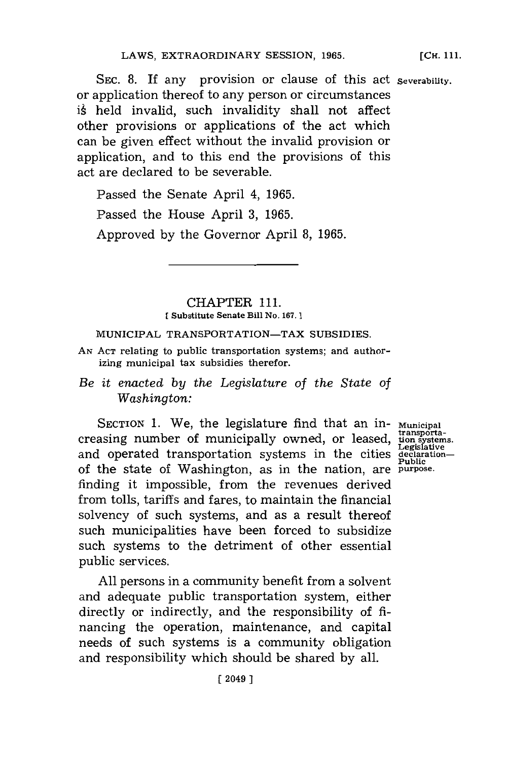SEC. 8. If any provision or clause of this act severability. or application thereof to any person or circumstances is held invalid, such invalidity shall not affect other provisions or applications of the act which can be given effect without the invalid provision or application, and to this end the provisions of this

Passed the Senate April 4, **1965.**

act are declared to be severable.

Passed the House April **3, 1965.**

Approved **by** the Governor April **8, 1965.**

### CHAPTER **111.** [ Substitute Senate Bill No. **167.**

MUNICIPAL TRANSPORTATION-TAX SUBSIDIES.

**AN ACT** relating to public transportation systems; and authorizing municipal tax subsidies therefor.

## *Be it enacted by the Legislature of the State of Washington:*

SECTION 1. We, the legislature find that an in- Municipal transporta-<br>creasing number of municipally owned, or leased, tion systems.<br>and operated transportation systems in the cities declarationof the state of Washington, as in the nation, are purpose. finding it impossible, from the revenues derived from tolls, tariffs and fares, to maintain the financial solvency of such systems, and as a result thereof such municipalities have been forced to subsidize such systems to the detriment of other essential public services.

**All** persons in a community benefit from a solvent and adequate public transportation system, either directly or indirectly, and the responsibility of **fi**nancing the operation, maintenance, and capital needs of such systems is a community obligation and responsibility which should be shared **by** all.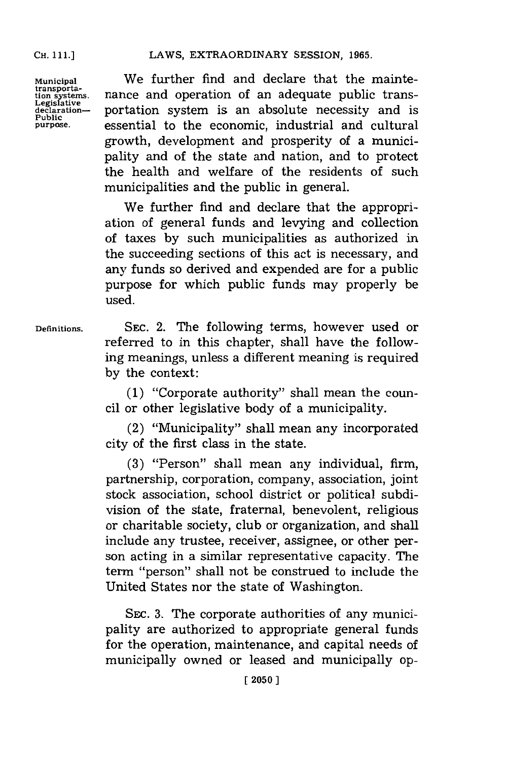**CH. 111.]**

**transporta-Public**

**Municipal** We further find and declare that the mainte**tion systemns.** nance and operation of an adequate public transportation system is an absolute necessity and is **purpose.** essential to the economic, industrial and cultural growth, development and prosperity of a municipality and of the state and nation, and to protect the health and welfare of the residents of such municipalities and the public in general.

> We further find and declare that the appropriation of general funds and levying and collection of taxes **by** such municipalities as authorized in the succeeding sections of this act is necessary, and any funds so derived and expended are for a public purpose for which public funds may properly be used.

**Definitions. SEC.** 2. The following terms, however used or referred to in this chapter, shall have the following meanings, unless a different meaning is required **by** the context:

> **(1)** "Corporate authority" shall mean the council or other legislative body of a municipality.

> (2) "Municipality" shall mean any incorporated city of the first class in the state.

> **(3)** "Person" shall mean any individual, firm, partnership, corporation, company, association, joint stock association, school district or political subdivision of the state, fraternal, benevolent, religious or charitable society, club or organization, and shall include any trustee, receiver, assignee, or other person acting in a similar representative capacity. The term "person" shall not be construed to include the United States nor the state of Washington.

> SEc. **3.** The corporate authorities of any municipality are authorized to appropriate general funds for the operation, maintenance, and capital needs of municipally owned or leased and municipally op-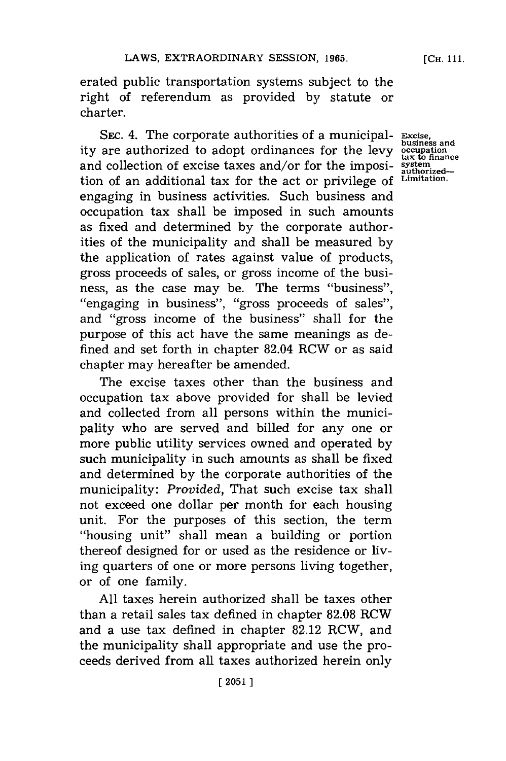**[CH, 111.**

erated public transportation systems subject to the right of referendum as provided **by** statute or charter.

SEC. 4. The corporate authorities of a municipal- **Excise**, and ity are authorized to adopt ordinances for the levy occupation and collection of excise taxes and/or for the imposi-<br>tion of an additional tax for the act or privilege of <sup>Limitation</sup> tion of an additional tax for the act or privilege of engaging in business activities. Such business and occupation tax shall be imposed in such amounts as fixed and determined **by** the corporate authorities of the municipality and shall be measured **by** the application of rates against value of products, gross proceeds of sales, or gross income of the business, as the case may be. The terms "business", "engaging in business", "gross proceeds of sales", and "gross income of the business" shall for the purpose of this act have the same meanings as defined and set forth in chapter 82.04 RCW or as said chapter may hereafter be amended.

The excise taxes other than the business and occupation tax above provided for shall be levied and collected from all persons within the municipality who are served and billed for any one or more public utility services owned and operated **by** such municipality in such amounts as shall be fixed and determined **by** the corporate authorities of the municipality: *Provided,* That such excise tax shall not exceed one dollar per month for each housing unit. For the purposes of this section, the term "housing unit" shall mean a building or portion thereof designed for or used as the residence or living quarters of one or more persons living together, or of one family.

**All** taxes herein authorized shall be taxes other than a retail sales tax defined in chapter **82.08** RCW and a use tax defined in chapter **82.12** RCW, and the municipality shall appropriate and use the proceeds derived from all taxes authorized herein only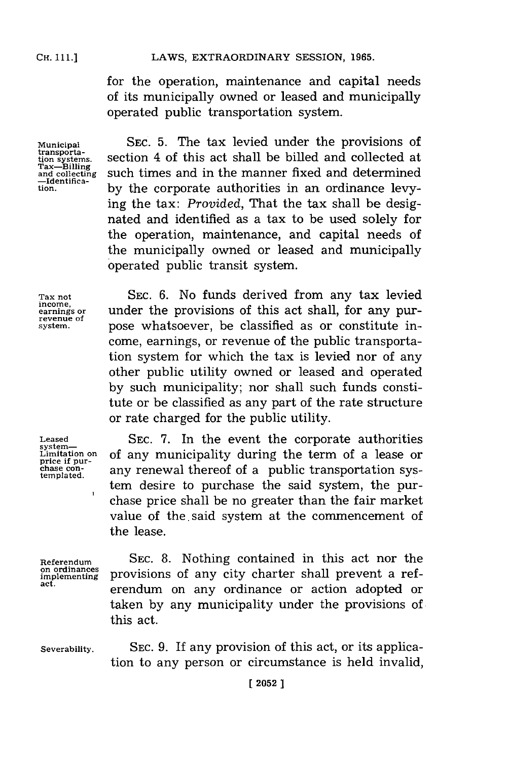for the operation, maintenance and capital needs of its municipally owned or leased and municipally operated public transportation system.

**Municipal transportation systems. Tax-Billing and collecting -Identification.**

**Tax not income, earnings or revenue of system.**

**Leased system-Limitation on price if pur- chase con- templated.**

 $\overline{1}$ 

**Referendum on ordinances implementing act.**

SEC. **5.** The tax levied under the provisions of section 4 of this act shall be billed and collected at such times and in the manner fixed and determined **by** the corporate authorities in an ordinance levying the tax: *Provided,* That the tax shall be designated and identified as a tax to be used solely for the operation, maintenance, and capital needs of the municipally owned or leased and municipally operated public transit system.

**SEC. 6.** No funds derived from any tax levied under the provisions of this act shall, for any purpose whatsoever, be classified as or constitute income, earnings, or revenue of the public transportation system for which the tax is levied nor of any other public utility owned or leased and operated **by** such municipality; nor shall such funds constitute or be classified as any part of the rate structure or rate charged for the public utility.

SEC. **7.** In the event the corporate authorities of any municipality during the term of a lease or any renewal thereof of a public transportation system desire to purchase the said system, the purchase price shall be no greater than the fair market value of the said system at the commencement of the lease.

**SEC. 8.** Nothing contained in this act nor the provisions of any city charter shall prevent a referendum on any ordinance or action adopted or taken **by** any municipality under the provisions of this act.

**Severability.**

**SEC. 9.** If any provision of this act, or its application to any person or circumstance is held invalid,